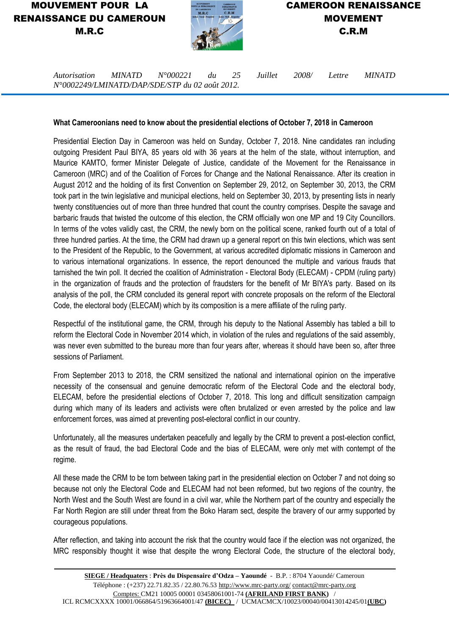## MOUVEMENT POUR LA RENAISSANCE DU CAMEROUN M.R.C



CAMEROON RENAISSANCE MOVEMENT C.R.M

*Autorisation MINATD N°000221 du 25 Juillet 2008/ Lettre MINATD N°0002249/LMINATD/DAP/SDE/STP du 02 août 2012.*

## **What Cameroonians need to know about the presidential elections of October 7, 2018 in Cameroon**

Presidential Election Day in Cameroon was held on Sunday, October 7, 2018. Nine candidates ran including outgoing President Paul BIYA, 85 years old with 36 years at the helm of the state, without interruption, and Maurice KAMTO, former Minister Delegate of Justice, candidate of the Movement for the Renaissance in Cameroon (MRC) and of the Coalition of Forces for Change and the National Renaissance. After its creation in August 2012 and the holding of its first Convention on September 29, 2012, on September 30, 2013, the CRM took part in the twin legislative and municipal elections, held on September 30, 2013, by presenting lists in nearly twenty constituencies out of more than three hundred that count the country comprises. Despite the savage and barbaric frauds that twisted the outcome of this election, the CRM officially won one MP and 19 City Councillors. In terms of the votes validly cast, the CRM, the newly born on the political scene, ranked fourth out of a total of three hundred parties. At the time, the CRM had drawn up a general report on this twin elections, which was sent to the President of the Republic, to the Government, at various accredited diplomatic missions in Cameroon and to various international organizations. In essence, the report denounced the multiple and various frauds that tarnished the twin poll. It decried the coalition of Administration - Electoral Body (ELECAM) - CPDM (ruling party) in the organization of frauds and the protection of fraudsters for the benefit of Mr BIYA's party. Based on its analysis of the poll, the CRM concluded its general report with concrete proposals on the reform of the Electoral Code, the electoral body (ELECAM) which by its composition is a mere affiliate of the ruling party.

Respectful of the institutional game, the CRM, through his deputy to the National Assembly has tabled a bill to reform the Electoral Code in November 2014 which, in violation of the rules and regulations of the said assembly, was never even submitted to the bureau more than four years after, whereas it should have been so, after three sessions of Parliament.

From September 2013 to 2018, the CRM sensitized the national and international opinion on the imperative necessity of the consensual and genuine democratic reform of the Electoral Code and the electoral body, ELECAM, before the presidential elections of October 7, 2018. This long and difficult sensitization campaign during which many of its leaders and activists were often brutalized or even arrested by the police and law enforcement forces, was aimed at preventing post-electoral conflict in our country.

Unfortunately, all the measures undertaken peacefully and legally by the CRM to prevent a post-election conflict, as the result of fraud, the bad Electoral Code and the bias of ELECAM, were only met with contempt of the regime.

All these made the CRM to be torn between taking part in the presidential election on October 7 and not doing so because not only the Electoral Code and ELECAM had not been reformed, but two regions of the country, the North West and the South West are found in a civil war, while the Northern part of the country and especially the Far North Region are still under threat from the Boko Haram sect, despite the bravery of our army supported by courageous populations.

After reflection, and taking into account the risk that the country would face if the election was not organized, the MRC responsibly thought it wise that despite the wrong Electoral Code, the structure of the electoral body,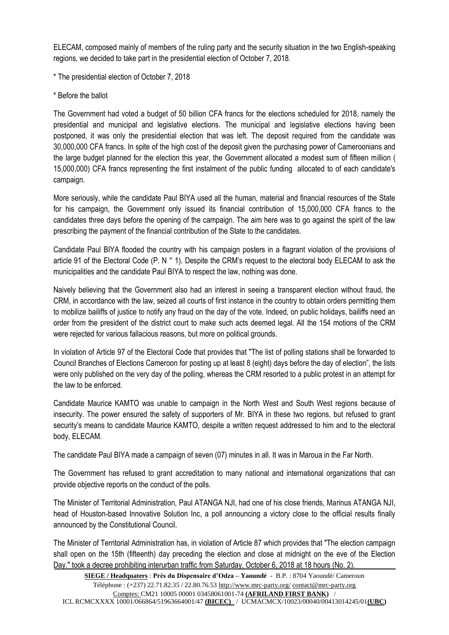ELECAM, composed mainly of members of the ruling party and the security situation in the two English-speaking regions, we decided to take part in the presidential election of October 7, 2018.

\* The presidential election of October 7, 2018

\* Before the ballot

The Government had voted a budget of 50 billion CFA francs for the elections scheduled for 2018, namely the presidential and municipal and legislative elections. The municipal and legislative elections having been postponed, it was only the presidential election that was left. The deposit required from the candidate was 30,000,000 CFA francs. In spite of the high cost of the deposit given the purchasing power of Cameroonians and the large budget planned for the election this year, the Government allocated a modest sum of fifteen million ( 15,000,000) CFA francs representing the first instalment of the public funding allocated to of each candidate's campaign.

More seriously, while the candidate Paul BIYA used all the human, material and financial resources of the State for his campaign, the Government only issued its financial contribution of 15,000,000 CFA francs to the candidates three days before the opening of the campaign. The aim here was to go against the spirit of the law prescribing the payment of the financial contribution of the State to the candidates.

Candidate Paul BIYA flooded the country with his campaign posters in a flagrant violation of the provisions of article 91 of the Electoral Code (P. N ° 1). Despite the CRM's request to the electoral body ELECAM to ask the municipalities and the candidate Paul BIYA to respect the law, nothing was done.

Naively believing that the Government also had an interest in seeing a transparent election without fraud, the CRM, in accordance with the law, seized all courts of first instance in the country to obtain orders permitting them to mobilize bailiffs of justice to notify any fraud on the day of the vote. Indeed, on public holidays, bailiffs need an order from the president of the district court to make such acts deemed legal. All the 154 motions of the CRM were rejected for various fallacious reasons, but more on political grounds.

In violation of Article 97 of the Electoral Code that provides that "The list of polling stations shall be forwarded to Council Branches of Elections Cameroon for posting up at least 8 (eight) days before the day of election", the lists were only published on the very day of the polling, whereas the CRM resorted to a public protest in an attempt for the law to be enforced.

Candidate Maurice KAMTO was unable to campaign in the North West and South West regions because of insecurity. The power ensured the safety of supporters of Mr. BIYA in these two regions, but refused to grant security's means to candidate Maurice KAMTO, despite a written request addressed to him and to the electoral body, ELECAM.

The candidate Paul BIYA made a campaign of seven (07) minutes in all. It was in Maroua in the Far North.

The Government has refused to grant accreditation to many national and international organizations that can provide objective reports on the conduct of the polls.

The Minister of Territorial Administration, Paul ATANGA NJI, had one of his close friends, Marinus ATANGA NJI, head of Houston-based Innovative Solution Inc, a poll announcing a victory close to the official results finally announced by the Constitutional Council.

The Minister of Territorial Administration has, in violation of Article 87 which provides that "The election campaign shall open on the 15th (fifteenth) day preceding the election and close at midnight on the eve of the Election Day." took a decree prohibiting interurban traffic from Saturday, October 6, 2018 at 18 hours (No. 2).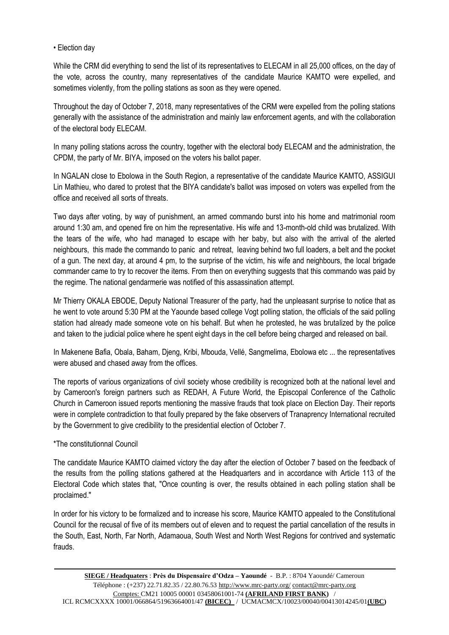• Election day

While the CRM did everything to send the list of its representatives to ELECAM in all 25,000 offices, on the day of the vote, across the country, many representatives of the candidate Maurice KAMTO were expelled, and sometimes violently, from the polling stations as soon as they were opened.

Throughout the day of October 7, 2018, many representatives of the CRM were expelled from the polling stations generally with the assistance of the administration and mainly law enforcement agents, and with the collaboration of the electoral body ELECAM.

In many polling stations across the country, together with the electoral body ELECAM and the administration, the CPDM, the party of Mr. BIYA, imposed on the voters his ballot paper.

In NGALAN close to Ebolowa in the South Region, a representative of the candidate Maurice KAMTO, ASSIGUI Lin Mathieu, who dared to protest that the BIYA candidate's ballot was imposed on voters was expelled from the office and received all sorts of threats.

Two days after voting, by way of punishment, an armed commando burst into his home and matrimonial room around 1:30 am, and opened fire on him the representative. His wife and 13-month-old child was brutalized. With the tears of the wife, who had managed to escape with her baby, but also with the arrival of the alerted neighbours, this made the commando to panic and retreat, leaving behind two full loaders, a belt and the pocket of a gun. The next day, at around 4 pm, to the surprise of the victim, his wife and neighbours, the local brigade commander came to try to recover the items. From then on everything suggests that this commando was paid by the regime. The national gendarmerie was notified of this assassination attempt.

Mr Thierry OKALA EBODE, Deputy National Treasurer of the party, had the unpleasant surprise to notice that as he went to vote around 5:30 PM at the Yaounde based college Vogt polling station, the officials of the said polling station had already made someone vote on his behalf. But when he protested, he was brutalized by the police and taken to the judicial police where he spent eight days in the cell before being charged and released on bail.

In Makenene Bafia, Obala, Baham, Djeng, Kribi, Mbouda, Vellé, Sangmelima, Ebolowa etc ... the representatives were abused and chased away from the offices.

The reports of various organizations of civil society whose credibility is recognized both at the national level and by Cameroon's foreign partners such as REDAH, A Future World, the Episcopal Conference of the Catholic Church in Cameroon issued reports mentioning the massive frauds that took place on Election Day. Their reports were in complete contradiction to that foully prepared by the fake observers of Tranaprency International recruited by the Government to give credibility to the presidential election of October 7.

## \*The constitutionnal Council

The candidate Maurice KAMTO claimed victory the day after the election of October 7 based on the feedback of the results from the polling stations gathered at the Headquarters and in accordance with Article 113 of the Electoral Code which states that, "Once counting is over, the results obtained in each polling station shall be proclaimed."

In order for his victory to be formalized and to increase his score, Maurice KAMTO appealed to the Constitutional Council for the recusal of five of its members out of eleven and to request the partial cancellation of the results in the South, East, North, Far North, Adamaoua, South West and North West Regions for contrived and systematic frauds.